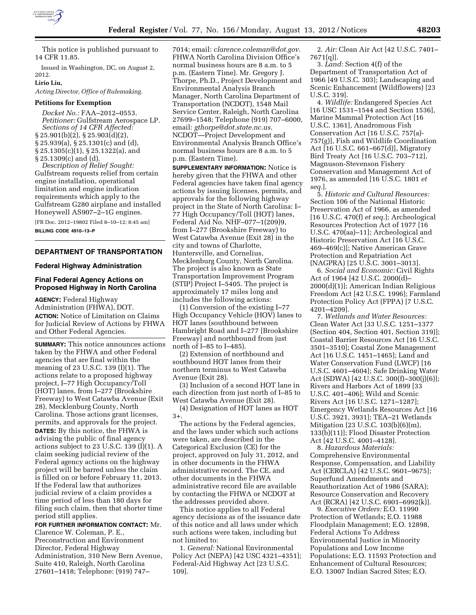

This notice is published pursuant to 14 CFR 11.85.

Issued in Washington, DC, on August 2, 2012.

**Lirio Liu,** 

*Acting Director, Office of Rulemaking.* 

### **Petitions for Exemption**

*Docket No.:* FAA–2012–0553. *Petitioner:* Gulfstream Aerospace LP. *Sections of 14 CFR Affected:*  § 25.901(b)(2), § 25.903(d)(2), § 25.939(a), § 25.1301(c) and (d), § 25.1305(c)(1), § 25.1322(a), and § 25.1309(c) and (d).

*Description of Relief Sought:*  Gulfstream requests relief from certain engine installation, operational limitation and engine indication requirements which apply to the Gulfstream G280 airplane and installed Honeywell AS907–2–1G engines.

[FR Doc. 2012–19802 Filed 8–10–12; 8:45 am] **BILLING CODE 4910–13–P** 

### **DEPARTMENT OF TRANSPORTATION**

### **Federal Highway Administration**

# **Final Federal Agency Actions on Proposed Highway in North Carolina**

**AGENCY:** Federal Highway Administration (FHWA), DOT. **ACTION:** Notice of Limitation on Claims for Judicial Review of Actions by FHWA and Other Federal Agencies.

**SUMMARY:** This notice announces actions taken by the FHWA and other Federal agencies that are final within the meaning of 23 U.S.C. 139 (I)(1). The actions relate to a proposed highway project, I–77 High Occupancy/Toll (HOT) lanes, from I–277 (Brookshire Freeway) to West Catawba Avenue (Exit 28), Mecklenburg County, North Carolina. Those actions grant licenses, permits, and approvals for the project. **DATES:** By this notice, the FHWA is advising the public of final agency actions subject to 23 U.S.C. 139 (I)(1). A claim seeking judicial review of the Federal agency actions on the highway project will be barred unless the claim is filled on or before February 11, 2013. If the Federal law that authorizes judicial review of a claim provides a time period of less than 180 days for filing such claim, then that shorter time period still applies.

**FOR FURTHER INFORMATION CONTACT:** Mr. Clarence W. Coleman, P. E.,

Preconstruction and Environment Director, Federal Highway Administration, 310 New Bern Avenue, Suite 410, Raleigh, North Carolina 27601–1418; Telephone: (919) 747–

7014; email: *[clarence.coleman@dot.gov](mailto:clarence.coleman@dot.gov)*. FHWA North Carolina Division Office's normal business hours are 8 a.m. to 5 p.m. (Eastern Time). Mr. Gregory J. Thorpe, Ph.D., Project Development and Environmental Analysis Branch Manager, North Carolina Department of Transportation (NCDOT), 1548 Mail Service Center, Raleigh, North Carolina 27699–1548; Telephone (919) 707–6000, email: *[gthorpe@dot.state.nc.us.](mailto:gthorpe@dot.state.nc.us)*  NCDOT—Project Development and Environmental Analysis Branch Office's normal business hours are 8 a.m. to 5 p.m. (Eastern Time).

**SUPPLEMENTARY INFORMATION:** Notice is hereby given that the FHWA and other Federal agencies have taken final agency actions by issuing licenses, permits, and approvals for the following highway project in the State of North Carolina: I– 77 High Occupancy/Toll (HOT) lanes, Federal Aid No. NHF–077–1(209)9, from I–277 (Brookshire Freeway) to West Catawba Avenue (Exit 28) in the city and towns of Charlotte, Huntersville, and Cornelius, Mecklenburg County, North Carolina. The project is also known as State Transportation Improvement Program (STIP) Project I–5405. The project is approximately 17 miles long and includes the following actions:

(1) Conversion of the existing I–77 High Occupancy Vehicle (HOV) lanes to HOT lanes (southbound between Hambright Road and I–277 [Brookshire Freeway] and northbound from just north of I–85 to I–485).

(2) Extension of northbound and southbound HOT lanes from their northern terminus to West Catawba Avenue (Exit 28).

(3) Inclusion of a second HOT lane in each direction from just north of I–85 to West Catawba Avenue (Exit 28).

(4) Designation of HOT lanes as HOT 3+.

The actions by the Federal agencies, and the laws under which such actions were taken, are described in the Categorical Exclusion (CE) for the project, approved on July 31, 2012, and in other documents in the FHWA administrative record. The CE, and other documents in the FHWA administrative record file are available by contacting the FHWA or NCDOT at the addresses provided above.

This notice applies to all Federal agency decisions as of the issuance date of this notice and all laws under which such actions were taken, including but not limited to:

1. *General:* National Environmental Policy Act (NEPA) [42 USC 4321–4351]; Federal-Aid Highway Act [23 U.S.C. 109].

2. *Air:* Clean Air Act [42 U.S.C. 7401– 7671(q)].

3. *Land:* Section 4(f) of the Department of Transportation Act of 1966 [49 U.S.C. 303]; Landscaping and Scenic Enhancement (Wildflowers) [23 U.S.C. 319].

4. *Wildlife:* Endangered Species Act [16 USC 1531–1544 and Section 1536], Marine Mammal Protection Act [16 U.S.C. 1361], Anadromous Fish Conservation Act [16 U.S.C. 757(a)- 757(g)], Fish and Wildlife Coordination Act [16 U.S.C. 661–667(d)], Migratory Bird Treaty Act [16 U.S.C. 703–712], Magnuson-Stevenson Fishery Conservation and Management Act of 1976, as amended [16 U.S.C. 1801 *et seq.*].

5. *Historic and Cultural Resources:*  Section 106 of the National Historic Preservation Act of 1966, as amended [16 U.S.C. 470(f) *et seq.*]; Archeological Resources Protection Act of 1977 [16 U.S.C. 470(aa)–11]; Archeological and Historic Preservation Act [16 U.S.C. 469–469(c)]; Native American Grave Protection and Repatriation Act (NAGPRA) [25 U.S.C. 3001–3013].

6. *Social and Economic:* Civil Rights Act of 1964 [42 U.S.C. 2000(d)– 2000(d)(1)]; American Indian Religious Freedom Act [42 U.S.C. 1996]; Farmland Protection Policy Act (FPPA) [7 U.S.C. 4201–4209].

7. *Wetlands and Water Resources:*  Clean Water Act [33 U.S.C. 1251–1377 (Section 404, Section 401, Section 319)]; Coastal Barrier Resources Act [16 U.S.C. 3501–3510]; Coastal Zone Management Act [16 U.S.C. 1451–1465]; Land and Water Conservation Fund (LWCF) [16 U.S.C. 4601–4604]; Safe Drinking Water Act (SDWA) [42 U.S.C. 300(f)–300(j)(6)]; Rivers and Harbors Act of 1899 [33 U.S.C. 401–406]; Wild and Scenic Rivers Act [16 U.S.C. 1271–1287]; Emergency Wetlands Resources Act [16 U.S.C. 3921, 3931]; TEA–21 Wetlands Mitigation [23 U.S.C. 103(b)(6)(m), 133(b)(11)]; Flood Disaster Protection Act [42 U.S.C. 4001–4128].

8. *Hazardous Materials:*  Comprehensive Environmental Response, Compensation, and Liability Act (CERCLA) [42 U.S.C. 9601–9675]; Superfund Amendments and Reauthorization Act of 1986 (SARA); Resource Conservation and Recovery Act (RCRA) [42 U.S.C. 6901–6992(k)].

9. *Executive Orders:* E.O. 11990 Protection of Wetlands; E.O. 11988 Floodplain Management; E.O. 12898, Federal Actions To Address Environmental Justice in Minority Populations and Low Income Populations; E.O. 11593 Protection and Enhancement of Cultural Resources; E.O. 13007 Indian Sacred Sites; E.O.